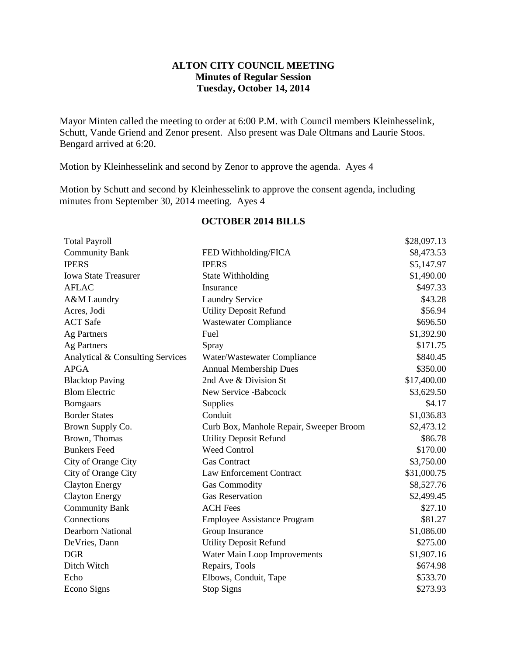### **ALTON CITY COUNCIL MEETING Minutes of Regular Session Tuesday, October 14, 2014**

Mayor Minten called the meeting to order at 6:00 P.M. with Council members Kleinhesselink, Schutt, Vande Griend and Zenor present. Also present was Dale Oltmans and Laurie Stoos. Bengard arrived at 6:20.

Motion by Kleinhesselink and second by Zenor to approve the agenda. Ayes 4

Motion by Schutt and second by Kleinhesselink to approve the consent agenda, including minutes from September 30, 2014 meeting. Ayes 4

| <b>Total Payroll</b>             |                                         | \$28,097.13 |
|----------------------------------|-----------------------------------------|-------------|
| <b>Community Bank</b>            | FED Withholding/FICA                    | \$8,473.53  |
| <b>IPERS</b>                     | <b>IPERS</b>                            | \$5,147.97  |
| <b>Iowa State Treasurer</b>      | State Withholding                       | \$1,490.00  |
| <b>AFLAC</b>                     | Insurance                               | \$497.33    |
| A&M Laundry                      | <b>Laundry Service</b>                  | \$43.28     |
| Acres, Jodi                      | <b>Utility Deposit Refund</b>           | \$56.94     |
| <b>ACT</b> Safe                  | <b>Wastewater Compliance</b>            | \$696.50    |
| <b>Ag Partners</b>               | Fuel                                    | \$1,392.90  |
| Ag Partners                      | Spray                                   | \$171.75    |
| Analytical & Consulting Services | Water/Wastewater Compliance             | \$840.45    |
| <b>APGA</b>                      | <b>Annual Membership Dues</b>           | \$350.00    |
| <b>Blacktop Paving</b>           | 2nd Ave & Division St                   | \$17,400.00 |
| <b>Blom Electric</b>             | New Service -Babcock                    | \$3,629.50  |
| <b>Bomgaars</b>                  | Supplies                                | \$4.17      |
| <b>Border States</b>             | Conduit                                 | \$1,036.83  |
| Brown Supply Co.                 | Curb Box, Manhole Repair, Sweeper Broom | \$2,473.12  |
| Brown, Thomas                    | <b>Utility Deposit Refund</b>           | \$86.78     |
| <b>Bunkers Feed</b>              | <b>Weed Control</b>                     | \$170.00    |
| City of Orange City              | <b>Gas Contract</b>                     | \$3,750.00  |
| City of Orange City              | Law Enforcement Contract                | \$31,000.75 |
| <b>Clayton Energy</b>            | <b>Gas Commodity</b>                    | \$8,527.76  |
| <b>Clayton Energy</b>            | <b>Gas Reservation</b>                  | \$2,499.45  |
| <b>Community Bank</b>            | <b>ACH Fees</b>                         | \$27.10     |
| Connections                      | <b>Employee Assistance Program</b>      | \$81.27     |
| <b>Dearborn National</b>         | Group Insurance                         | \$1,086.00  |
| DeVries, Dann                    | <b>Utility Deposit Refund</b>           | \$275.00    |
| <b>DGR</b>                       | Water Main Loop Improvements            | \$1,907.16  |
| Ditch Witch                      | Repairs, Tools                          | \$674.98    |
| Echo                             | Elbows, Conduit, Tape                   | \$533.70    |
| Econo Signs                      | <b>Stop Signs</b>                       | \$273.93    |

#### **OCTOBER 2014 BILLS**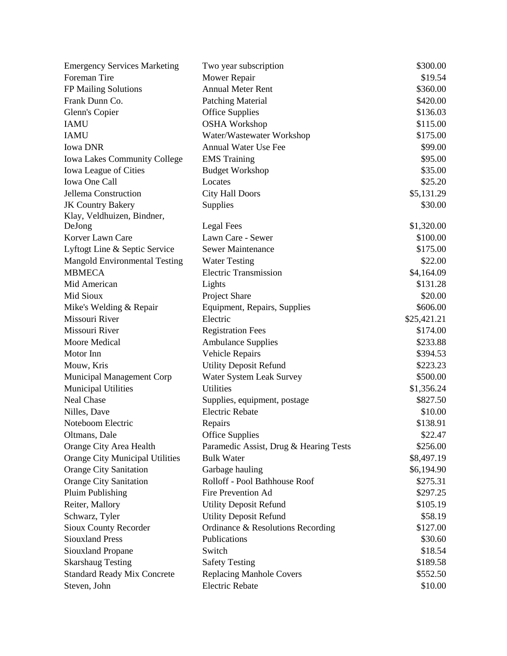| <b>Emergency Services Marketing</b> | Two year subscription                  | \$300.00    |
|-------------------------------------|----------------------------------------|-------------|
| Foreman Tire                        | Mower Repair                           | \$19.54     |
| FP Mailing Solutions                | <b>Annual Meter Rent</b>               | \$360.00    |
| Frank Dunn Co.                      | <b>Patching Material</b>               | \$420.00    |
| Glenn's Copier                      | <b>Office Supplies</b>                 | \$136.03    |
| <b>IAMU</b>                         | <b>OSHA Workshop</b>                   | \$115.00    |
| <b>IAMU</b>                         | Water/Wastewater Workshop              | \$175.00    |
| <b>Iowa DNR</b>                     | <b>Annual Water Use Fee</b>            | \$99.00     |
| <b>Iowa Lakes Community College</b> | <b>EMS</b> Training                    | \$95.00     |
| Iowa League of Cities               | <b>Budget Workshop</b>                 | \$35.00     |
| Iowa One Call                       | Locates                                | \$25.20     |
| Jellema Construction                | <b>City Hall Doors</b>                 | \$5,131.29  |
| <b>JK Country Bakery</b>            | Supplies                               | \$30.00     |
| Klay, Veldhuizen, Bindner,          |                                        |             |
| DeJong                              | Legal Fees                             | \$1,320.00  |
| Korver Lawn Care                    | Lawn Care - Sewer                      | \$100.00    |
| Lyftogt Line & Septic Service       | <b>Sewer Maintenance</b>               | \$175.00    |
| Mangold Environmental Testing       | <b>Water Testing</b>                   | \$22.00     |
| <b>MBMECA</b>                       | <b>Electric Transmission</b>           | \$4,164.09  |
| Mid American                        | Lights                                 | \$131.28    |
| Mid Sioux                           | Project Share                          | \$20.00     |
| Mike's Welding & Repair             | Equipment, Repairs, Supplies           | \$606.00    |
| Missouri River                      | Electric                               | \$25,421.21 |
| Missouri River                      | <b>Registration Fees</b>               | \$174.00    |
| Moore Medical                       | <b>Ambulance Supplies</b>              | \$233.88    |
| Motor Inn                           | Vehicle Repairs                        | \$394.53    |
| Mouw, Kris                          | <b>Utility Deposit Refund</b>          | \$223.23    |
| Municipal Management Corp           | Water System Leak Survey               | \$500.00    |
| <b>Municipal Utilities</b>          | <b>Utilities</b>                       | \$1,356.24  |
| Neal Chase                          | Supplies, equipment, postage           | \$827.50    |
| Nilles, Dave                        | <b>Electric Rebate</b>                 | \$10.00     |
| Noteboom Electric                   | Repairs                                | \$138.91    |
| Oltmans, Dale                       | <b>Office Supplies</b>                 | \$22.47     |
| Orange City Area Health             | Paramedic Assist, Drug & Hearing Tests | \$256.00    |
| Orange City Municipal Utilities     | <b>Bulk Water</b>                      | \$8,497.19  |
| <b>Orange City Sanitation</b>       | Garbage hauling                        | \$6,194.90  |
| <b>Orange City Sanitation</b>       | Rolloff - Pool Bathhouse Roof          | \$275.31    |
| Pluim Publishing                    | Fire Prevention Ad                     | \$297.25    |
| Reiter, Mallory                     | <b>Utility Deposit Refund</b>          | \$105.19    |
| Schwarz, Tyler                      | <b>Utility Deposit Refund</b>          | \$58.19     |
| Sioux County Recorder               | Ordinance & Resolutions Recording      | \$127.00    |
| <b>Siouxland Press</b>              | Publications                           | \$30.60     |
| Siouxland Propane                   | Switch                                 | \$18.54     |
| <b>Skarshaug Testing</b>            | <b>Safety Testing</b>                  | \$189.58    |
| <b>Standard Ready Mix Concrete</b>  | <b>Replacing Manhole Covers</b>        | \$552.50    |
| Steven, John                        | <b>Electric Rebate</b>                 | \$10.00     |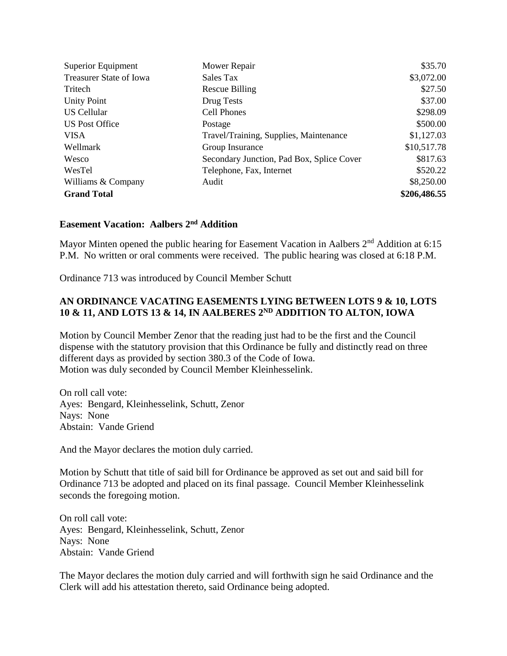| Superior Equipment             | Mower Repair                              | \$35.70      |
|--------------------------------|-------------------------------------------|--------------|
| <b>Treasurer State of Iowa</b> | Sales Tax                                 | \$3,072.00   |
| Tritech                        | Rescue Billing                            | \$27.50      |
| <b>Unity Point</b>             | Drug Tests                                | \$37.00      |
| <b>US Cellular</b>             | <b>Cell Phones</b>                        | \$298.09     |
| US Post Office                 | Postage                                   | \$500.00     |
| <b>VISA</b>                    | Travel/Training, Supplies, Maintenance    | \$1,127.03   |
| Wellmark                       | Group Insurance                           | \$10,517.78  |
| Wesco                          | Secondary Junction, Pad Box, Splice Cover | \$817.63     |
| WesTel                         | Telephone, Fax, Internet                  | \$520.22     |
| Williams & Company             | Audit                                     | \$8,250.00   |
| <b>Grand Total</b>             |                                           | \$206,486.55 |

### **Easement Vacation: Aalbers 2nd Addition**

Mayor Minten opened the public hearing for Easement Vacation in Aalbers 2<sup>nd</sup> Addition at 6:15 P.M. No written or oral comments were received. The public hearing was closed at 6:18 P.M.

Ordinance 713 was introduced by Council Member Schutt

# **AN ORDINANCE VACATING EASEMENTS LYING BETWEEN LOTS 9 & 10, LOTS 10 & 11, AND LOTS 13 & 14, IN AALBERES 2ND ADDITION TO ALTON, IOWA**

Motion by Council Member Zenor that the reading just had to be the first and the Council dispense with the statutory provision that this Ordinance be fully and distinctly read on three different days as provided by section 380.3 of the Code of Iowa. Motion was duly seconded by Council Member Kleinhesselink.

On roll call vote: Ayes: Bengard, Kleinhesselink, Schutt, Zenor Nays: None Abstain: Vande Griend

And the Mayor declares the motion duly carried.

Motion by Schutt that title of said bill for Ordinance be approved as set out and said bill for Ordinance 713 be adopted and placed on its final passage. Council Member Kleinhesselink seconds the foregoing motion.

On roll call vote: Ayes: Bengard, Kleinhesselink, Schutt, Zenor Nays: None Abstain: Vande Griend

The Mayor declares the motion duly carried and will forthwith sign he said Ordinance and the Clerk will add his attestation thereto, said Ordinance being adopted.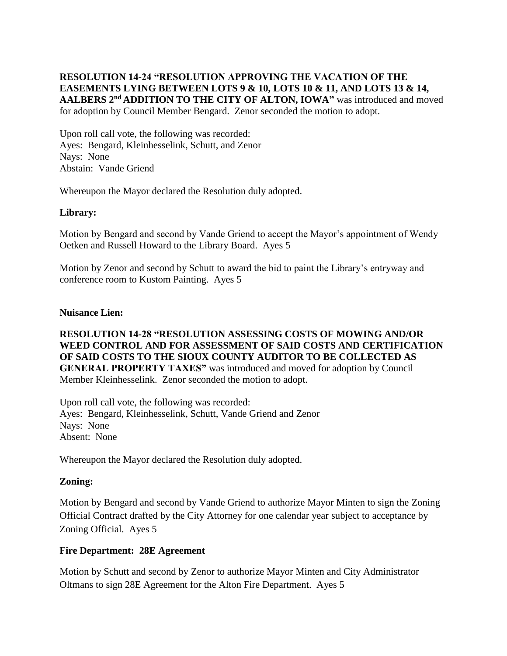### **RESOLUTION 14-24 "RESOLUTION APPROVING THE VACATION OF THE EASEMENTS LYING BETWEEN LOTS 9 & 10, LOTS 10 & 11, AND LOTS 13 & 14, AALBERS 2nd ADDITION TO THE CITY OF ALTON, IOWA"** was introduced and moved for adoption by Council Member Bengard. Zenor seconded the motion to adopt.

Upon roll call vote, the following was recorded: Ayes: Bengard, Kleinhesselink, Schutt, and Zenor Nays: None Abstain: Vande Griend

Whereupon the Mayor declared the Resolution duly adopted.

### **Library:**

Motion by Bengard and second by Vande Griend to accept the Mayor's appointment of Wendy Oetken and Russell Howard to the Library Board. Ayes 5

Motion by Zenor and second by Schutt to award the bid to paint the Library's entryway and conference room to Kustom Painting. Ayes 5

#### **Nuisance Lien:**

### **RESOLUTION 14-28 "RESOLUTION ASSESSING COSTS OF MOWING AND/OR WEED CONTROL AND FOR ASSESSMENT OF SAID COSTS AND CERTIFICATION OF SAID COSTS TO THE SIOUX COUNTY AUDITOR TO BE COLLECTED AS GENERAL PROPERTY TAXES"** was introduced and moved for adoption by Council Member Kleinhesselink. Zenor seconded the motion to adopt.

Upon roll call vote, the following was recorded: Ayes: Bengard, Kleinhesselink, Schutt, Vande Griend and Zenor Nays: None Absent: None

Whereupon the Mayor declared the Resolution duly adopted.

# **Zoning:**

Motion by Bengard and second by Vande Griend to authorize Mayor Minten to sign the Zoning Official Contract drafted by the City Attorney for one calendar year subject to acceptance by Zoning Official. Ayes 5

# **Fire Department: 28E Agreement**

Motion by Schutt and second by Zenor to authorize Mayor Minten and City Administrator Oltmans to sign 28E Agreement for the Alton Fire Department. Ayes 5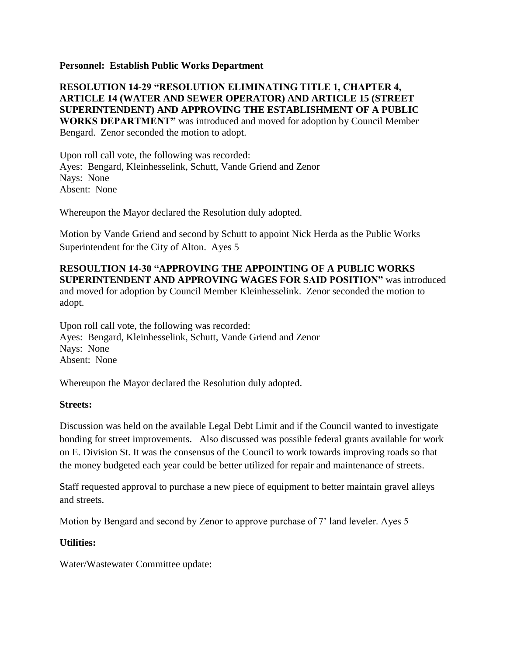#### **Personnel: Establish Public Works Department**

### **RESOLUTION 14-29 "RESOLUTION ELIMINATING TITLE 1, CHAPTER 4, ARTICLE 14 (WATER AND SEWER OPERATOR) AND ARTICLE 15 (STREET SUPERINTENDENT) AND APPROVING THE ESTABLISHMENT OF A PUBLIC WORKS DEPARTMENT"** was introduced and moved for adoption by Council Member Bengard. Zenor seconded the motion to adopt.

Upon roll call vote, the following was recorded: Ayes: Bengard, Kleinhesselink, Schutt, Vande Griend and Zenor Nays: None Absent: None

Whereupon the Mayor declared the Resolution duly adopted.

Motion by Vande Griend and second by Schutt to appoint Nick Herda as the Public Works Superintendent for the City of Alton. Ayes 5

# **RESOULTION 14-30 "APPROVING THE APPOINTING OF A PUBLIC WORKS SUPERINTENDENT AND APPROVING WAGES FOR SAID POSITION"** was introduced and moved for adoption by Council Member Kleinhesselink. Zenor seconded the motion to adopt.

Upon roll call vote, the following was recorded: Ayes: Bengard, Kleinhesselink, Schutt, Vande Griend and Zenor Nays: None Absent: None

Whereupon the Mayor declared the Resolution duly adopted.

#### **Streets:**

Discussion was held on the available Legal Debt Limit and if the Council wanted to investigate bonding for street improvements. Also discussed was possible federal grants available for work on E. Division St. It was the consensus of the Council to work towards improving roads so that the money budgeted each year could be better utilized for repair and maintenance of streets.

Staff requested approval to purchase a new piece of equipment to better maintain gravel alleys and streets.

Motion by Bengard and second by Zenor to approve purchase of 7' land leveler. Ayes 5

#### **Utilities:**

Water/Wastewater Committee update: